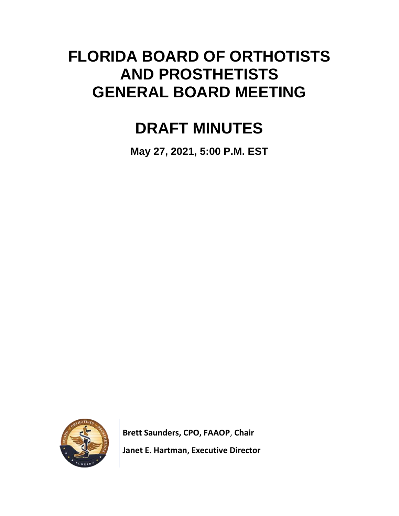# **FLORIDA BOARD OF ORTHOTISTS AND PROSTHETISTS GENERAL BOARD MEETING**

# **DRAFT MINUTES**

**May 27, 2021, 5:00 P.M. EST**



**Brett Saunders, CPO, FAAOP**, **Chair Janet E. Hartman, Executive Director**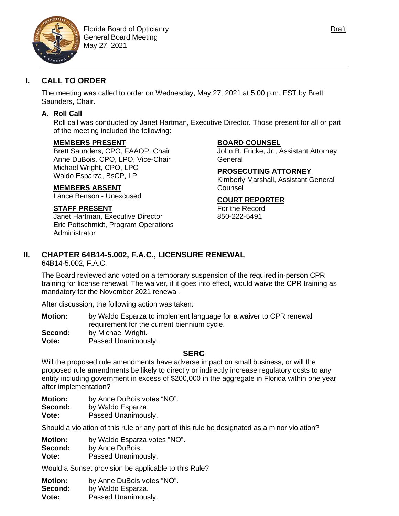

### **I. CALL TO ORDER**

The meeting was called to order on Wednesday, May 27, 2021 at 5:00 p.m. EST by Brett Saunders, Chair.

#### **A. Roll Call**

Roll call was conducted by Janet Hartman, Executive Director. Those present for all or part of the meeting included the following:

#### **MEMBERS PRESENT**

Brett Saunders, CPO, FAAOP, Chair Anne DuBois, CPO, LPO, Vice-Chair Michael Wright, CPO, LPO Waldo Esparza, BsCP, LP

#### **MEMBERS ABSENT**

Lance Benson - Unexcused

#### **STAFF PRESENT**

Janet Hartman, Executive Director Eric Pottschmidt, Program Operations Administrator

#### **BOARD COUNSEL**

John B. Fricke, Jr., Assistant Attorney General

#### **PROSECUTING ATTORNEY**

Kimberly Marshall, Assistant General **Counsel** 

#### **COURT REPORTER**

For the Record 850-222-5491

#### **II. CHAPTER 64B14-5.002, F.A.C., LICENSURE RENEWAL** 64B14-5.002, F.A.C.

The Board reviewed and voted on a temporary suspension of the required in-person CPR training for license renewal. The waiver, if it goes into effect, would waive the CPR training as mandatory for the November 2021 renewal.

After discussion, the following action was taken:

- **Motion:** by Waldo Esparza to implement language for a waiver to CPR renewal requirement for the current biennium cycle. **Second:** by Michael Wright.
- **Vote:** Passed Unanimously.

#### **SERC**

Will the proposed rule amendments have adverse impact on small business, or will the proposed rule amendments be likely to directly or indirectly increase regulatory costs to any entity including government in excess of \$200,000 in the aggregate in Florida within one year after implementation?

**Motion:** by Anne DuBois votes "NO".

**Second:** by Waldo Esparza.

**Vote:** Passed Unanimously.

Should a violation of this rule or any part of this rule be designated as a minor violation?

**Motion:** by Waldo Esparza votes "NO".

- **Second:** by Anne DuBois.
- **Vote:** Passed Unanimously.

Would a Sunset provision be applicable to this Rule?

**Motion:** by Anne DuBois votes "NO". **Second:** by Waldo Esparza. **Vote:** Passed Unanimously.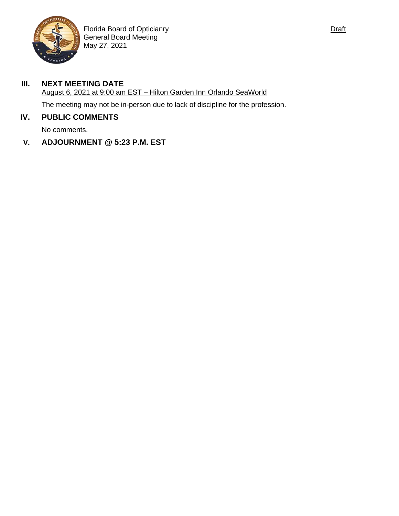

# **III. NEXT MEETING DATE**

### August 6, 2021 at 9:00 am EST – Hilton Garden Inn Orlando SeaWorld

The meeting may not be in-person due to lack of discipline for the profession.

# **IV. PUBLIC COMMENTS**

No comments.

## **V. ADJOURNMENT @ 5:23 P.M. EST**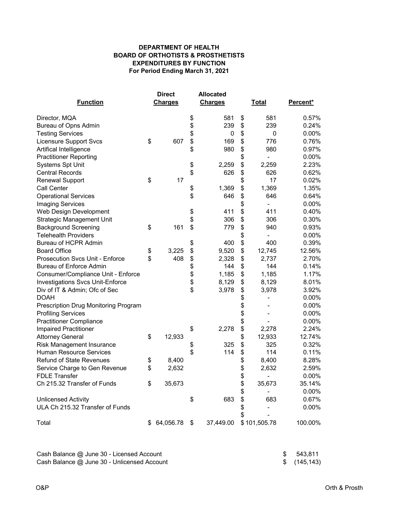#### **For Period Ending March 31, 2021 EXPENDITURES BY FUNCTION BOARD OF ORTHOTISTS & PROSTHETISTS DEPARTMENT OF HEALTH**

|                                         |                | <b>Direct</b> |                | <b>Allocated</b> |              |              |          |  |
|-----------------------------------------|----------------|---------------|----------------|------------------|--------------|--------------|----------|--|
| <b>Function</b>                         | <b>Charges</b> |               | <b>Charges</b> |                  | <b>Total</b> |              | Percent* |  |
| Director, MQA                           |                |               | \$             | 581              | \$           | 581          | 0.57%    |  |
| Bureau of Opns Admin                    |                |               | \$             | 239              | \$           | 239          | 0.24%    |  |
| <b>Testing Services</b>                 |                |               | \$             | 0                | \$           | 0            | 0.00%    |  |
| <b>Licensure Support Svcs</b>           | \$             | 607           | \$             | 169              | \$           | 776          | 0.76%    |  |
| Artifical Intelligence                  |                |               | \$             | 980              | \$           | 980          | 0.97%    |  |
| <b>Practitioner Reporting</b>           |                |               |                |                  | \$           |              | 0.00%    |  |
| <b>Systems Spt Unit</b>                 |                |               | \$             | 2,259            | \$           | 2,259        | 2.23%    |  |
| <b>Central Records</b>                  |                |               | \$             | 626              | \$           | 626          | 0.62%    |  |
| <b>Renewal Support</b>                  | \$             | 17            |                |                  | \$           | 17           | 0.02%    |  |
| Call Center                             |                |               | \$             | 1,369            | \$           | 1,369        | 1.35%    |  |
| <b>Operational Services</b>             |                |               | \$             | 646              | \$           | 646          | 0.64%    |  |
| <b>Imaging Services</b>                 |                |               |                |                  | \$           |              | 0.00%    |  |
| Web Design Development                  |                |               | \$             | 411              | \$           | 411          | 0.40%    |  |
| <b>Strategic Management Unit</b>        |                |               | \$             | 306              | \$           | 306          | 0.30%    |  |
| <b>Background Screening</b>             | \$             | 161           | \$             | 779              | \$           | 940          | 0.93%    |  |
| <b>Telehealth Providers</b>             |                |               |                |                  | \$           |              | 0.00%    |  |
| <b>Bureau of HCPR Admin</b>             |                |               | \$             | 400              | \$           | 400          | 0.39%    |  |
| <b>Board Office</b>                     | \$             | 3,225         | \$             | 9,520            | \$           | 12,745       | 12.56%   |  |
| <b>Prosecution Svcs Unit - Enforce</b>  | \$             | 408           | \$             | 2,328            | \$           | 2,737        | 2.70%    |  |
| <b>Bureau of Enforce Admin</b>          |                |               | \$             | 144              | \$           | 144          | 0.14%    |  |
| Consumer/Compliance Unit - Enforce      |                |               | \$             | 1,185            | \$           | 1,185        | 1.17%    |  |
| <b>Investigations Svcs Unit-Enforce</b> |                |               | \$             | 8,129            | \$           | 8,129        | 8.01%    |  |
| Div of IT & Admin; Ofc of Sec           |                |               | \$             | 3,978            | \$           | 3,978        | 3.92%    |  |
| <b>DOAH</b>                             |                |               |                |                  | \$           |              | 0.00%    |  |
| Prescription Drug Monitoring Program    |                |               |                |                  | \$           |              | 0.00%    |  |
| <b>Profiling Services</b>               |                |               |                |                  | \$           |              | 0.00%    |  |
| <b>Practitioner Compliance</b>          |                |               |                |                  | \$           |              | 0.00%    |  |
| <b>Impaired Practitioner</b>            |                |               | \$             | 2,278            | \$           | 2,278        | 2.24%    |  |
| <b>Attorney General</b>                 | \$             | 12,933        |                |                  | \$           | 12,933       | 12.74%   |  |
| Risk Management Insurance               |                |               | \$             | 325              | \$           | 325          | 0.32%    |  |
| <b>Human Resource Services</b>          |                |               | \$             | 114              | \$           | 114          | 0.11%    |  |
| <b>Refund of State Revenues</b>         | \$             | 8,400         |                |                  | \$           | 8,400        | 8.28%    |  |
| Service Charge to Gen Revenue           | \$             | 2,632         |                |                  | \$           | 2,632        | 2.59%    |  |
| <b>FDLE Transfer</b>                    |                |               |                |                  | \$           |              | 0.00%    |  |
| Ch 215.32 Transfer of Funds             | \$             | 35,673        |                |                  | \$           | 35,673       | 35.14%   |  |
|                                         |                |               |                |                  | \$           |              | 0.00%    |  |
| <b>Unlicensed Activity</b>              |                |               | \$             | 683              | \$           | 683          | 0.67%    |  |
| ULA Ch 215.32 Transfer of Funds         |                |               |                |                  | \$<br>\$     |              | 0.00%    |  |
| Total                                   | \$.            | 64,056.78     | \$             | 37,449.00        |              | \$101,505.78 | 100.00%  |  |

| Cash Balance @ June 30 - Licensed Account   | \$ 543,811   |
|---------------------------------------------|--------------|
| Cash Balance @ June 30 - Unlicensed Account | \$(145, 143) |